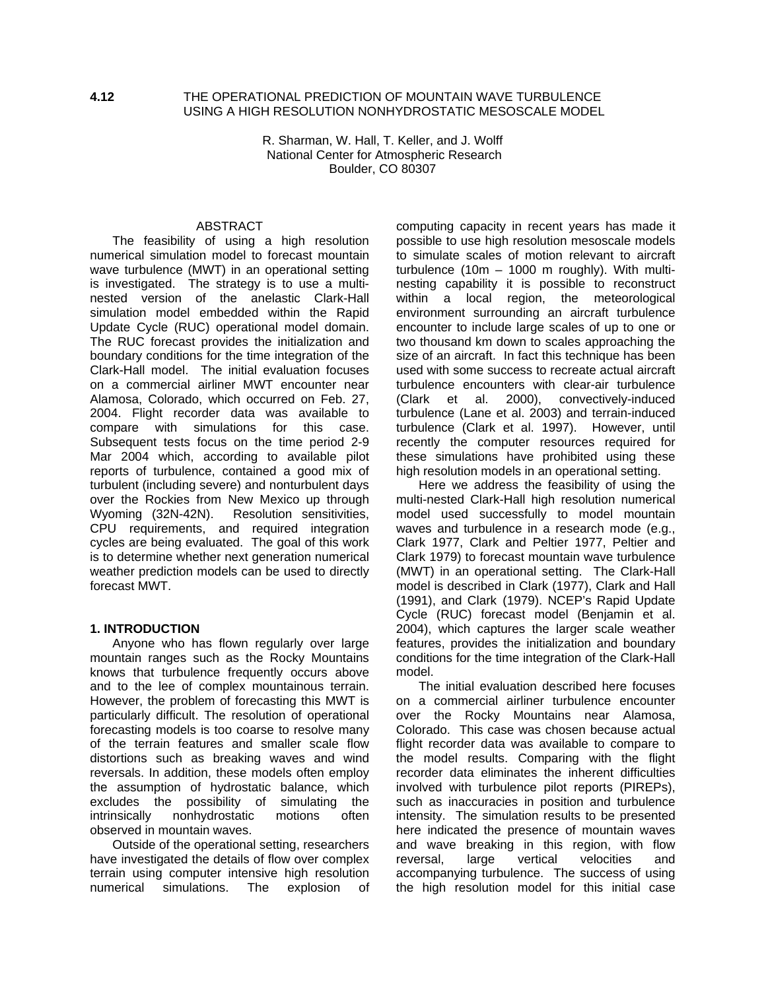#### **4.12** THE OPERATIONAL PREDICTION OF MOUNTAIN WAVE TURBULENCE USING A HIGH RESOLUTION NONHYDROSTATIC MESOSCALE MODEL

R. Sharman, W. Hall, T. Keller, and J. Wolff National Center for Atmospheric Research Boulder, CO 80307

## ABSTRACT

The feasibility of using a high resolution numerical simulation model to forecast mountain wave turbulence (MWT) in an operational setting is investigated. The strategy is to use a multinested version of the anelastic Clark-Hall simulation model embedded within the Rapid Update Cycle (RUC) operational model domain. The RUC forecast provides the initialization and boundary conditions for the time integration of the Clark-Hall model. The initial evaluation focuses on a commercial airliner MWT encounter near Alamosa, Colorado, which occurred on Feb. 27, 2004. Flight recorder data was available to compare with simulations for this case. Subsequent tests focus on the time period 2-9 Mar 2004 which, according to available pilot reports of turbulence, contained a good mix of turbulent (including severe) and nonturbulent days over the Rockies from New Mexico up through Wyoming (32N-42N). Resolution sensitivities, CPU requirements, and required integration cycles are being evaluated. The goal of this work is to determine whether next generation numerical weather prediction models can be used to directly forecast MWT.

#### **1. INTRODUCTION**

Anyone who has flown regularly over large mountain ranges such as the Rocky Mountains knows that turbulence frequently occurs above and to the lee of complex mountainous terrain. However, the problem of forecasting this MWT is particularly difficult. The resolution of operational forecasting models is too coarse to resolve many of the terrain features and smaller scale flow distortions such as breaking waves and wind reversals. In addition, these models often employ the assumption of hydrostatic balance, which excludes the possibility of simulating the intrinsically nonhydrostatic motions often observed in mountain waves.

Outside of the operational setting, researchers have investigated the details of flow over complex terrain using computer intensive high resolution numerical simulations. The explosion of computing capacity in recent years has made it possible to use high resolution mesoscale models to simulate scales of motion relevant to aircraft turbulence (10m – 1000 m roughly). With multinesting capability it is possible to reconstruct within a local region, the meteorological environment surrounding an aircraft turbulence encounter to include large scales of up to one or two thousand km down to scales approaching the size of an aircraft. In fact this technique has been used with some success to recreate actual aircraft turbulence encounters with clear-air turbulence (Clark et al. 2000), convectively-induced turbulence (Lane et al. 2003) and terrain-induced turbulence (Clark et al. 1997). However, until recently the computer resources required for these simulations have prohibited using these high resolution models in an operational setting.

Here we address the feasibility of using the multi-nested Clark-Hall high resolution numerical model used successfully to model mountain waves and turbulence in a research mode (e.g., Clark 1977, Clark and Peltier 1977, Peltier and Clark 1979) to forecast mountain wave turbulence (MWT) in an operational setting. The Clark-Hall model is described in Clark (1977), Clark and Hall (1991), and Clark (1979). NCEP's Rapid Update Cycle (RUC) forecast model (Benjamin et al. 2004), which captures the larger scale weather features, provides the initialization and boundary conditions for the time integration of the Clark-Hall model.

The initial evaluation described here focuses on a commercial airliner turbulence encounter over the Rocky Mountains near Alamosa, Colorado. This case was chosen because actual flight recorder data was available to compare to the model results. Comparing with the flight recorder data eliminates the inherent difficulties involved with turbulence pilot reports (PIREPs), such as inaccuracies in position and turbulence intensity. The simulation results to be presented here indicated the presence of mountain waves and wave breaking in this region, with flow reversal, large vertical velocities and accompanying turbulence. The success of using the high resolution model for this initial case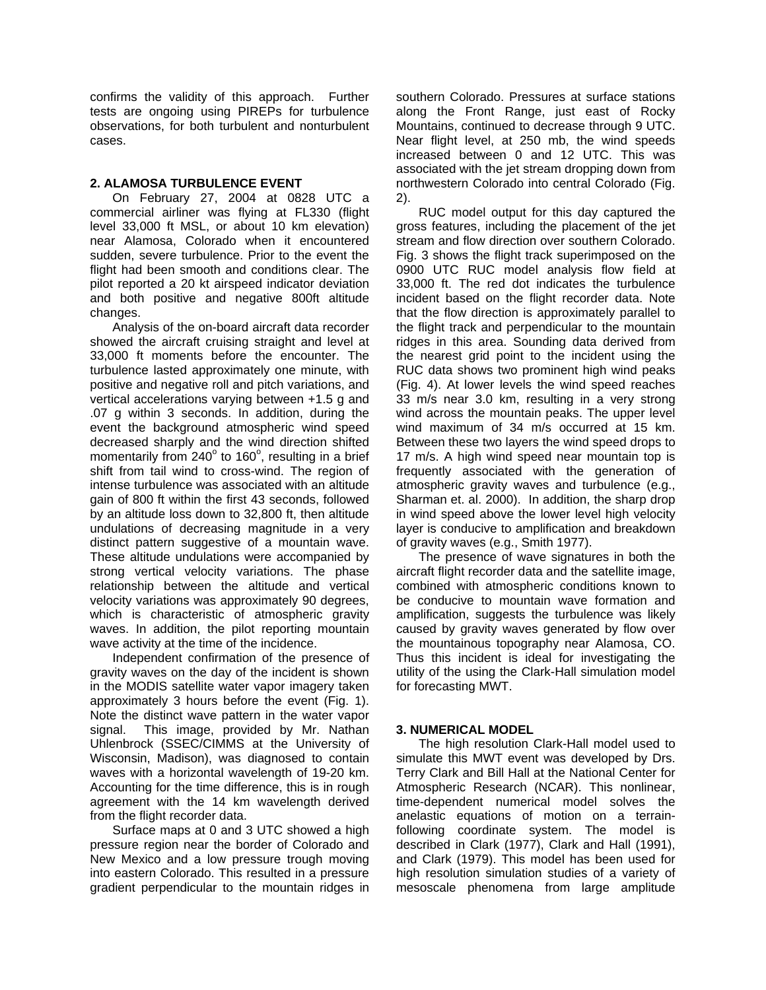confirms the validity of this approach. Further tests are ongoing using PIREPs for turbulence observations, for both turbulent and nonturbulent cases.

### **2. ALAMOSA TURBULENCE EVENT**

On February 27, 2004 at 0828 UTC a commercial airliner was flying at FL330 (flight level 33,000 ft MSL, or about 10 km elevation) near Alamosa, Colorado when it encountered sudden, severe turbulence. Prior to the event the flight had been smooth and conditions clear. The pilot reported a 20 kt airspeed indicator deviation and both positive and negative 800ft altitude changes.

Analysis of the on-board aircraft data recorder showed the aircraft cruising straight and level at 33,000 ft moments before the encounter. The turbulence lasted approximately one minute, with positive and negative roll and pitch variations, and vertical accelerations varying between +1.5 g and .07 g within 3 seconds. In addition, during the event the background atmospheric wind speed decreased sharply and the wind direction shifted momentarily from  $240^{\circ}$  to 160°, resulting in a brief shift from tail wind to cross-wind. The region of intense turbulence was associated with an altitude gain of 800 ft within the first 43 seconds, followed by an altitude loss down to 32,800 ft, then altitude undulations of decreasing magnitude in a very distinct pattern suggestive of a mountain wave. These altitude undulations were accompanied by strong vertical velocity variations. The phase relationship between the altitude and vertical velocity variations was approximately 90 degrees, which is characteristic of atmospheric gravity waves. In addition, the pilot reporting mountain wave activity at the time of the incidence.

Independent confirmation of the presence of gravity waves on the day of the incident is shown in the MODIS satellite water vapor imagery taken approximately 3 hours before the event (Fig. 1). Note the distinct wave pattern in the water vapor signal. This image, provided by Mr. Nathan Uhlenbrock (SSEC/CIMMS at the University of Wisconsin, Madison), was diagnosed to contain waves with a horizontal wavelength of 19-20 km. Accounting for the time difference, this is in rough agreement with the 14 km wavelength derived from the flight recorder data.

Surface maps at 0 and 3 UTC showed a high pressure region near the border of Colorado and New Mexico and a low pressure trough moving into eastern Colorado. This resulted in a pressure gradient perpendicular to the mountain ridges in southern Colorado. Pressures at surface stations along the Front Range, just east of Rocky Mountains, continued to decrease through 9 UTC. Near flight level, at 250 mb, the wind speeds increased between 0 and 12 UTC. This was associated with the jet stream dropping down from northwestern Colorado into central Colorado (Fig. 2).

RUC model output for this day captured the gross features, including the placement of the jet stream and flow direction over southern Colorado. Fig. 3 shows the flight track superimposed on the 0900 UTC RUC model analysis flow field at 33,000 ft. The red dot indicates the turbulence incident based on the flight recorder data. Note that the flow direction is approximately parallel to the flight track and perpendicular to the mountain ridges in this area. Sounding data derived from the nearest grid point to the incident using the RUC data shows two prominent high wind peaks (Fig. 4). At lower levels the wind speed reaches 33 m/s near 3.0 km, resulting in a very strong wind across the mountain peaks. The upper level wind maximum of 34 m/s occurred at 15 km. Between these two layers the wind speed drops to 17 m/s. A high wind speed near mountain top is frequently associated with the generation of atmospheric gravity waves and turbulence (e.g., Sharman et. al. 2000). In addition, the sharp drop in wind speed above the lower level high velocity layer is conducive to amplification and breakdown of gravity waves (e.g., Smith 1977).

The presence of wave signatures in both the aircraft flight recorder data and the satellite image, combined with atmospheric conditions known to be conducive to mountain wave formation and amplification, suggests the turbulence was likely caused by gravity waves generated by flow over the mountainous topography near Alamosa, CO. Thus this incident is ideal for investigating the utility of the using the Clark-Hall simulation model for forecasting MWT.

#### **3. NUMERICAL MODEL**

The high resolution Clark-Hall model used to simulate this MWT event was developed by Drs. Terry Clark and Bill Hall at the National Center for Atmospheric Research (NCAR). This nonlinear, time-dependent numerical model solves the anelastic equations of motion on a terrainfollowing coordinate system. The model is described in Clark (1977), Clark and Hall (1991), and Clark (1979). This model has been used for high resolution simulation studies of a variety of mesoscale phenomena from large amplitude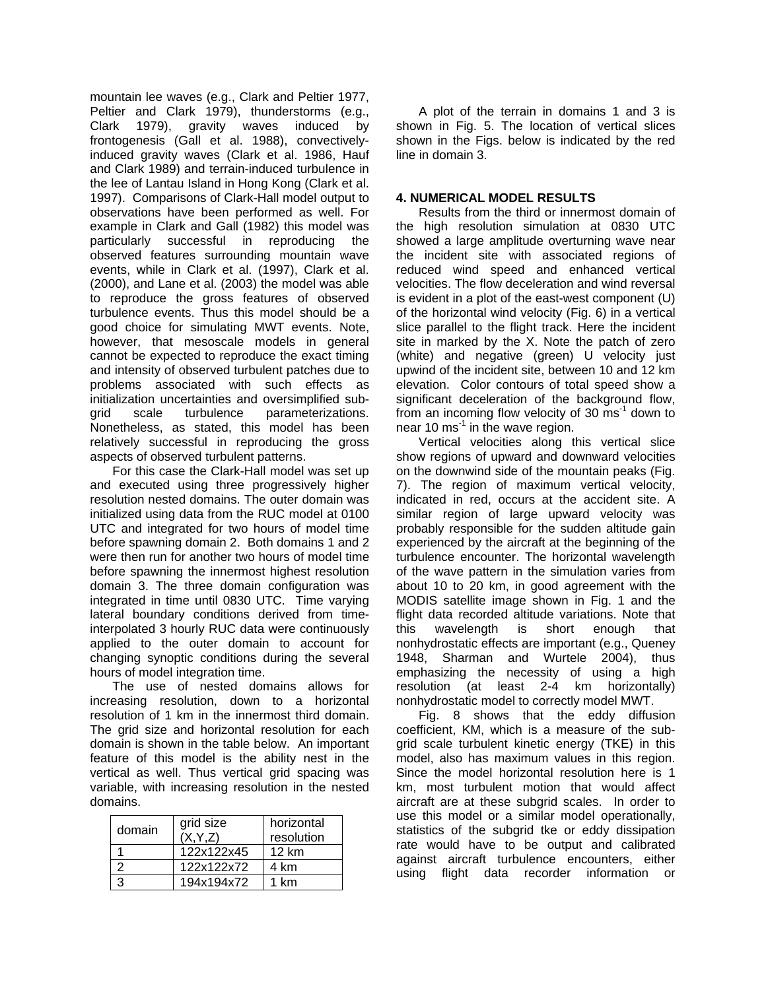mountain lee waves (e.g., Clark and Peltier 1977, Peltier and Clark 1979), thunderstorms (e.g., Clark 1979), gravity waves induced by frontogenesis (Gall et al. 1988), convectivelyinduced gravity waves (Clark et al. 1986, Hauf and Clark 1989) and terrain-induced turbulence in the lee of Lantau Island in Hong Kong (Clark et al. 1997). Comparisons of Clark-Hall model output to observations have been performed as well. For example in Clark and Gall (1982) this model was particularly successful in reproducing the observed features surrounding mountain wave events, while in Clark et al. (1997), Clark et al. (2000), and Lane et al. (2003) the model was able to reproduce the gross features of observed turbulence events. Thus this model should be a good choice for simulating MWT events. Note, however, that mesoscale models in general cannot be expected to reproduce the exact timing and intensity of observed turbulent patches due to problems associated with such effects as initialization uncertainties and oversimplified subgrid scale turbulence parameterizations. Nonetheless, as stated, this model has been relatively successful in reproducing the gross aspects of observed turbulent patterns.

For this case the Clark-Hall model was set up and executed using three progressively higher resolution nested domains. The outer domain was initialized using data from the RUC model at 0100 UTC and integrated for two hours of model time before spawning domain 2. Both domains 1 and 2 were then run for another two hours of model time before spawning the innermost highest resolution domain 3. The three domain configuration was integrated in time until 0830 UTC. Time varying lateral boundary conditions derived from timeinterpolated 3 hourly RUC data were continuously applied to the outer domain to account for changing synoptic conditions during the several hours of model integration time.

The use of nested domains allows for increasing resolution, down to a horizontal resolution of 1 km in the innermost third domain. The grid size and horizontal resolution for each domain is shown in the table below. An important feature of this model is the ability nest in the vertical as well. Thus vertical grid spacing was variable, with increasing resolution in the nested domains.

| domain | grid size<br>(X, Y, Z) | horizontal<br>resolution |
|--------|------------------------|--------------------------|
|        | 122x122x45             | $12 \text{ km}$          |
|        | 122x122x72             | 4 km                     |
|        | 194x194x72             | 1 km                     |

A plot of the terrain in domains 1 and 3 is shown in Fig. 5. The location of vertical slices shown in the Figs. below is indicated by the red line in domain 3.

## **4. NUMERICAL MODEL RESULTS**

Results from the third or innermost domain of the high resolution simulation at 0830 UTC showed a large amplitude overturning wave near the incident site with associated regions of reduced wind speed and enhanced vertical velocities. The flow deceleration and wind reversal is evident in a plot of the east-west component (U) of the horizontal wind velocity (Fig. 6) in a vertical slice parallel to the flight track. Here the incident site in marked by the X. Note the patch of zero (white) and negative (green) U velocity just upwind of the incident site, between 10 and 12 km elevation. Color contours of total speed show a significant deceleration of the background flow, from an incoming flow velocity of 30  $\text{ms}^{-1}$  down to near 10 ms $^{-1}$  in the wave region.

Vertical velocities along this vertical slice show regions of upward and downward velocities on the downwind side of the mountain peaks (Fig. 7). The region of maximum vertical velocity, indicated in red, occurs at the accident site. A similar region of large upward velocity was probably responsible for the sudden altitude gain experienced by the aircraft at the beginning of the turbulence encounter. The horizontal wavelength of the wave pattern in the simulation varies from about 10 to 20 km, in good agreement with the MODIS satellite image shown in Fig. 1 and the flight data recorded altitude variations. Note that this wavelength is short enough that nonhydrostatic effects are important (e.g., Queney 1948, Sharman and Wurtele 2004), thus emphasizing the necessity of using a high resolution (at least 2-4 km horizontally) nonhydrostatic model to correctly model MWT.

Fig. 8 shows that the eddy diffusion coefficient, KM, which is a measure of the subgrid scale turbulent kinetic energy (TKE) in this model, also has maximum values in this region. Since the model horizontal resolution here is 1 km, most turbulent motion that would affect aircraft are at these subgrid scales. In order to use this model or a similar model operationally, statistics of the subgrid tke or eddy dissipation rate would have to be output and calibrated against aircraft turbulence encounters, either using flight data recorder information or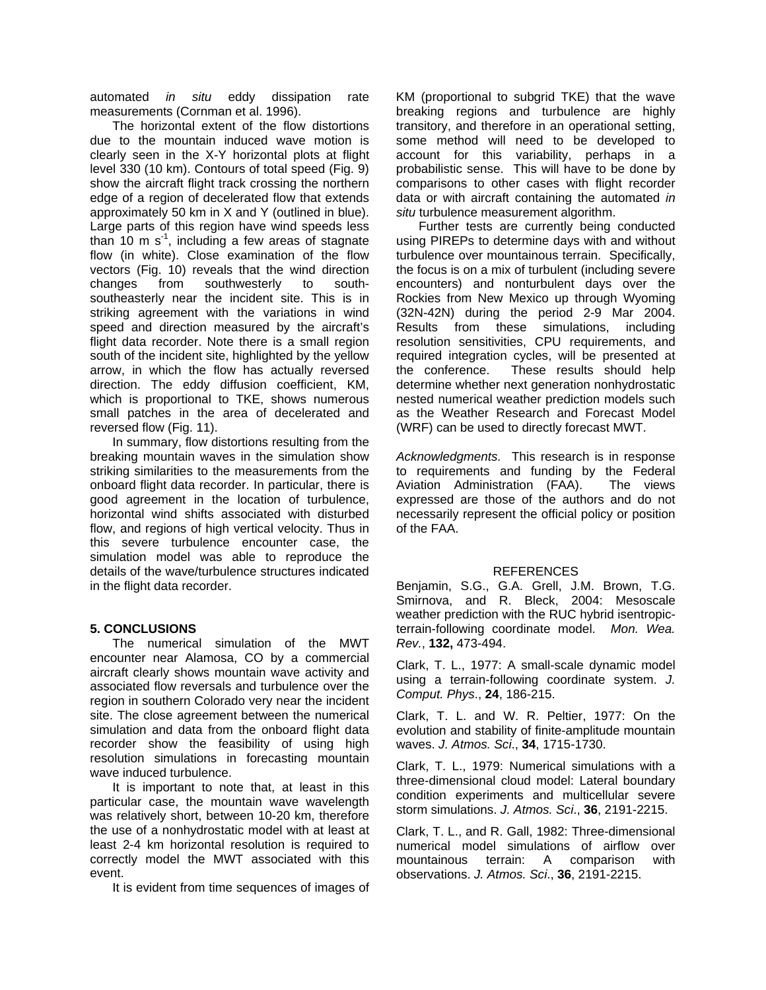automated *in situ* eddy dissipation rate measurements (Cornman et al. 1996).

The horizontal extent of the flow distortions due to the mountain induced wave motion is clearly seen in the X-Y horizontal plots at flight level 330 (10 km). Contours of total speed (Fig. 9) show the aircraft flight track crossing the northern edge of a region of decelerated flow that extends approximately 50 km in X and Y (outlined in blue). Large parts of this region have wind speeds less than 10 m  $s^{-1}$ , including a few areas of stagnate flow (in white). Close examination of the flow vectors (Fig. 10) reveals that the wind direction changes from southwesterly to southsoutheasterly near the incident site. This is in striking agreement with the variations in wind speed and direction measured by the aircraft's flight data recorder. Note there is a small region south of the incident site, highlighted by the yellow arrow, in which the flow has actually reversed direction. The eddy diffusion coefficient, KM, which is proportional to TKE, shows numerous small patches in the area of decelerated and reversed flow (Fig. 11).

In summary, flow distortions resulting from the breaking mountain waves in the simulation show striking similarities to the measurements from the onboard flight data recorder. In particular, there is good agreement in the location of turbulence, horizontal wind shifts associated with disturbed flow, and regions of high vertical velocity. Thus in this severe turbulence encounter case, the simulation model was able to reproduce the details of the wave/turbulence structures indicated in the flight data recorder.

#### **5. CONCLUSIONS**

The numerical simulation of the MWT encounter near Alamosa, CO by a commercial aircraft clearly shows mountain wave activity and associated flow reversals and turbulence over the region in southern Colorado very near the incident site. The close agreement between the numerical simulation and data from the onboard flight data recorder show the feasibility of using high resolution simulations in forecasting mountain wave induced turbulence.

It is important to note that, at least in this particular case, the mountain wave wavelength was relatively short, between 10-20 km, therefore the use of a nonhydrostatic model with at least at least 2-4 km horizontal resolution is required to correctly model the MWT associated with this event.

It is evident from time sequences of images of

KM (proportional to subgrid TKE) that the wave breaking regions and turbulence are highly transitory, and therefore in an operational setting, some method will need to be developed to account for this variability, perhaps in a probabilistic sense. This will have to be done by comparisons to other cases with flight recorder data or with aircraft containing the automated *in situ* turbulence measurement algorithm.

Further tests are currently being conducted using PIREPs to determine days with and without turbulence over mountainous terrain. Specifically, the focus is on a mix of turbulent (including severe encounters) and nonturbulent days over the Rockies from New Mexico up through Wyoming (32N-42N) during the period 2-9 Mar 2004. Results from these simulations, including resolution sensitivities, CPU requirements, and required integration cycles, will be presented at the conference. These results should help determine whether next generation nonhydrostatic nested numerical weather prediction models such as the Weather Research and Forecast Model (WRF) can be used to directly forecast MWT.

*Acknowledgments.* This research is in response to requirements and funding by the Federal Aviation Administration (FAA). The views expressed are those of the authors and do not necessarily represent the official policy or position of the FAA.

# **REFERENCES**

Benjamin, S.G., G.A. Grell, J.M. Brown, T.G. Smirnova, and R. Bleck, 2004: Mesoscale weather prediction with the RUC hybrid isentropicterrain-following coordinate model. *Mon. Wea. Rev.*, **132,** 473-494.

Clark, T. L., 1977: A small-scale dynamic model using a terrain-following coordinate system. *J. Comput. Phys*., **24**, 186-215.

Clark, T. L. and W. R. Peltier, 1977: On the evolution and stability of finite-amplitude mountain waves. *J. Atmos. Sci*., **34**, 1715-1730.

Clark, T. L., 1979: Numerical simulations with a three-dimensional cloud model: Lateral boundary condition experiments and multicellular severe storm simulations. *J. Atmos. Sci*., **36**, 2191-2215.

Clark, T. L., and R. Gall, 1982: Three-dimensional numerical model simulations of airflow over mountainous terrain: A comparison with observations. *J. Atmos. Sci*., **36**, 2191-2215.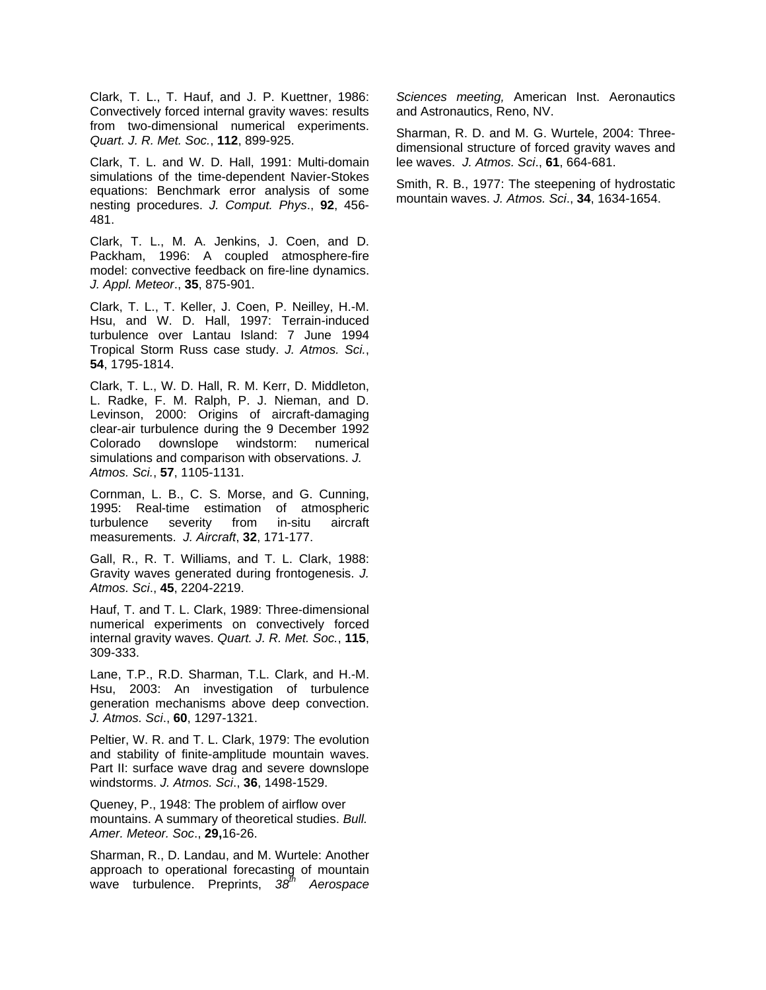Clark, T. L., T. Hauf, and J. P. Kuettner, 1986: Convectively forced internal gravity waves: results from two-dimensional numerical experiments. *Quart. J. R. Met. Soc.*, **112**, 899-925.

Clark, T. L. and W. D. Hall, 1991: Multi-domain simulations of the time-dependent Navier-Stokes equations: Benchmark error analysis of some nesting procedures. *J. Comput. Phys*., **92**, 456- 481.

Clark, T. L., M. A. Jenkins, J. Coen, and D. Packham, 1996: A coupled atmosphere-fire model: convective feedback on fire-line dynamics. *J. Appl. Meteor*., **35**, 875-901.

Clark, T. L., T. Keller, J. Coen, P. Neilley, H.-M. Hsu, and W. D. Hall, 1997: Terrain-induced turbulence over Lantau Island: 7 June 1994 Tropical Storm Russ case study. *J. Atmos. Sci.*, **54**, 1795-1814.

Clark, T. L., W. D. Hall, R. M. Kerr, D. Middleton, L. Radke, F. M. Ralph, P. J. Nieman, and D. Levinson, 2000: Origins of aircraft-damaging clear-air turbulence during the 9 December 1992 Colorado downslope windstorm: numerical simulations and comparison with observations. *J. Atmos. Sci.*, **57**, 1105-1131.

Cornman, L. B., C. S. Morse, and G. Cunning, 1995: Real-time estimation of atmospheric turbulence severity from in-situ aircraft measurements. *J. Aircraft*, **32**, 171-177.

Gall, R., R. T. Williams, and T. L. Clark, 1988: Gravity waves generated during frontogenesis. *J. Atmos. Sci*., **45**, 2204-2219.

Hauf, T. and T. L. Clark, 1989: Three-dimensional numerical experiments on convectively forced internal gravity waves. *Quart. J. R. Met. Soc.*, **115**, 309-333.

Lane, T.P., R.D. Sharman, T.L. Clark, and H.-M. Hsu, 2003: An investigation of turbulence generation mechanisms above deep convection. *J. Atmos. Sci*., **60**, 1297-1321.

Peltier, W. R. and T. L. Clark, 1979: The evolution and stability of finite-amplitude mountain waves. Part II: surface wave drag and severe downslope windstorms. *J. Atmos. Sci*., **36**, 1498-1529.

Queney, P., 1948: The problem of airflow over mountains. A summary of theoretical studies. *Bull. Amer. Meteor. Soc*., **29,**16-26.

Sharman, R., D. Landau, and M. Wurtele: Another approach to operational forecasting of mountain wave turbulence. Preprints, *38th Aerospace* 

*Sciences meeting,* American Inst. Aeronautics and Astronautics, Reno, NV.

Sharman, R. D. and M. G. Wurtele, 2004: Threedimensional structure of forced gravity waves and lee waves. *J. Atmos. Sci*., **61**, 664-681.

Smith, R. B., 1977: The steepening of hydrostatic mountain waves. *J. Atmos. Sci*., **34**, 1634-1654.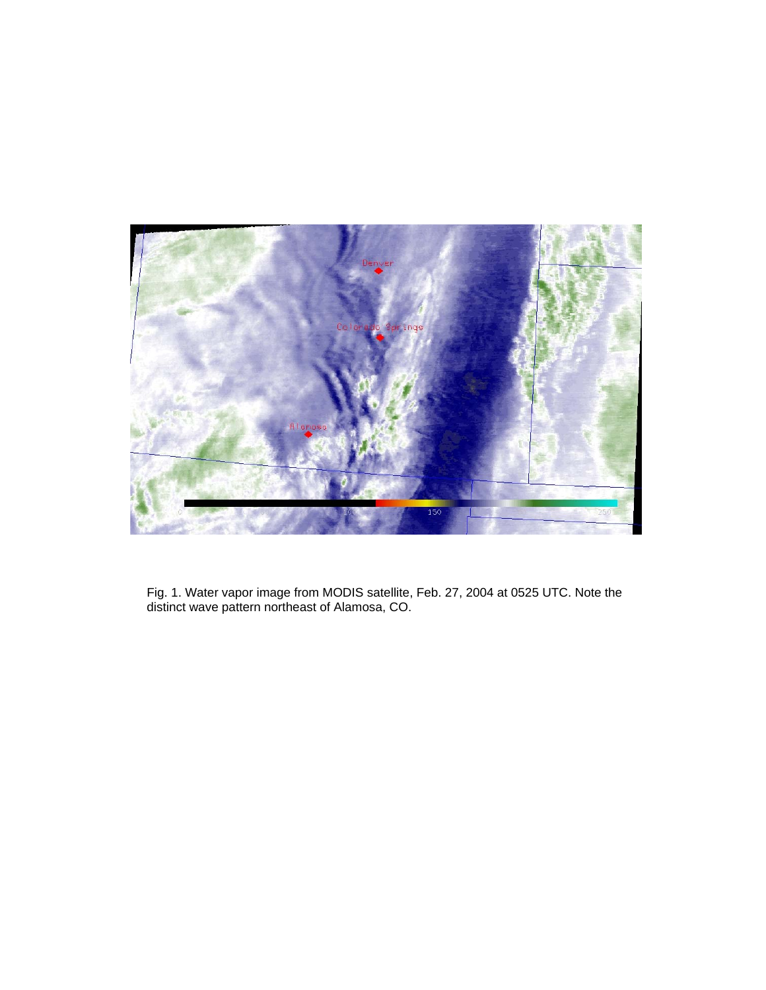

Fig. 1. Water vapor image from MODIS satellite, Feb. 27, 2004 at 0525 UTC. Note the distinct wave pattern northeast of Alamosa, CO.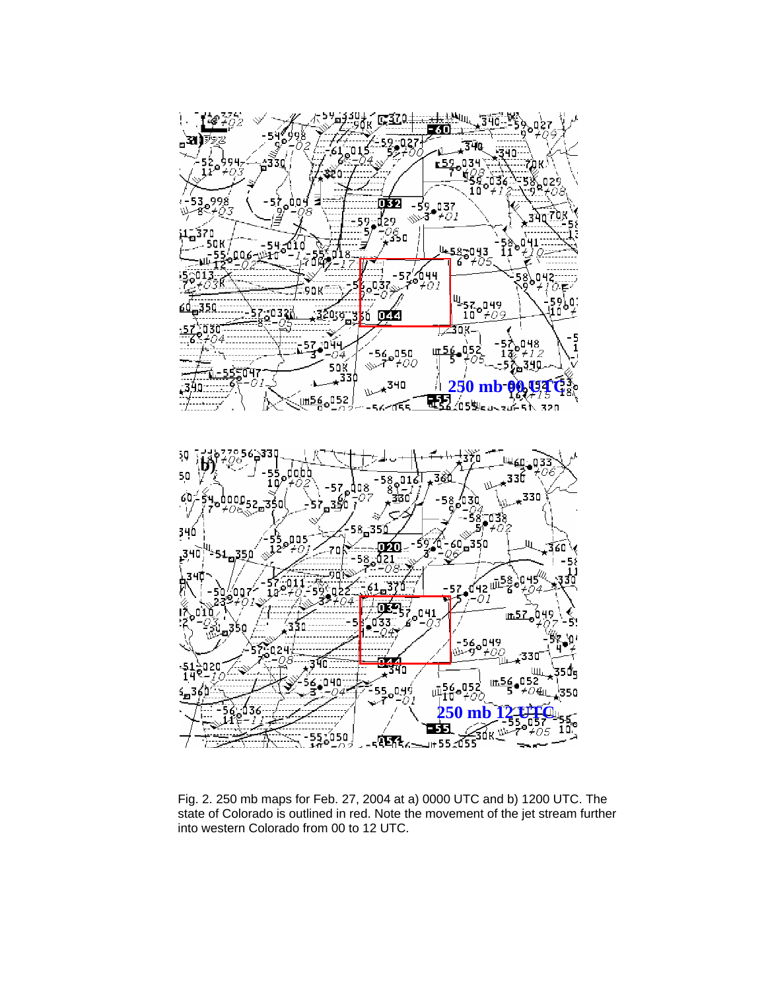

Fig. 2. 250 mb maps for Feb. 27, 2004 at a) 0000 UTC and b) 1200 UTC. The state of Colorado is outlined in red. Note the movement of the jet stream further into western Colorado from 00 to 12 UTC.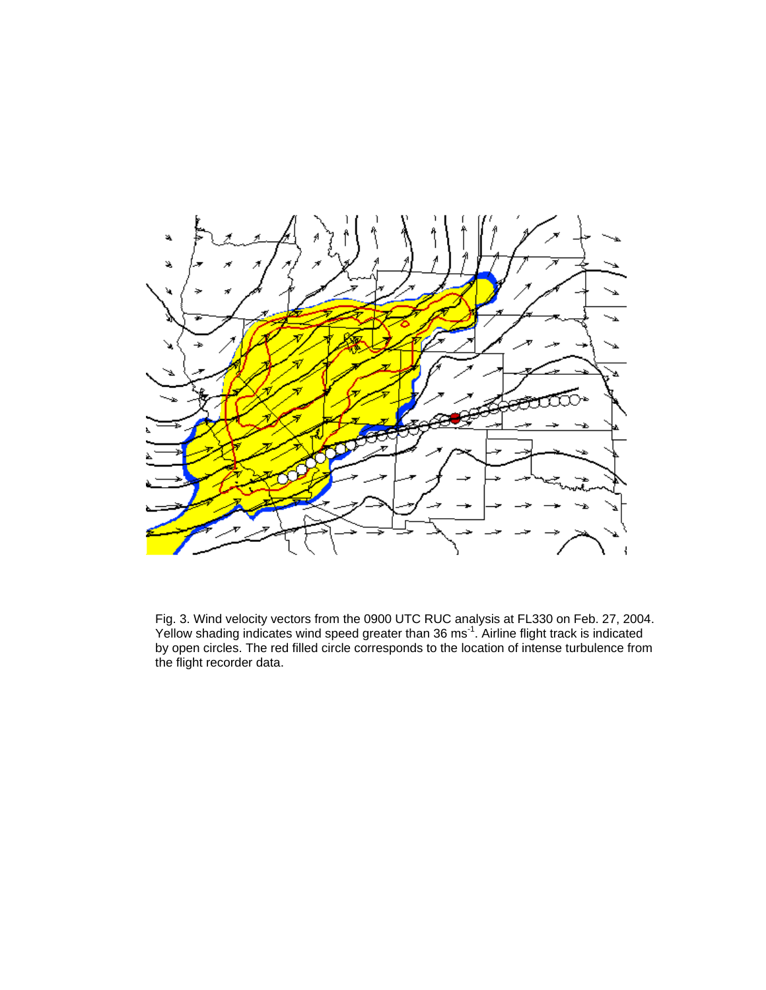

Fig. 3. Wind velocity vectors from the 0900 UTC RUC analysis at FL330 on Feb. 27, 2 Yellow shading indicates wind speed greater than 36 ms<sup>-1</sup>. Airline flight track is indicate by open circles. The red filled circle corresponds to the location of intense turbulence the flight recorder data. 004. d from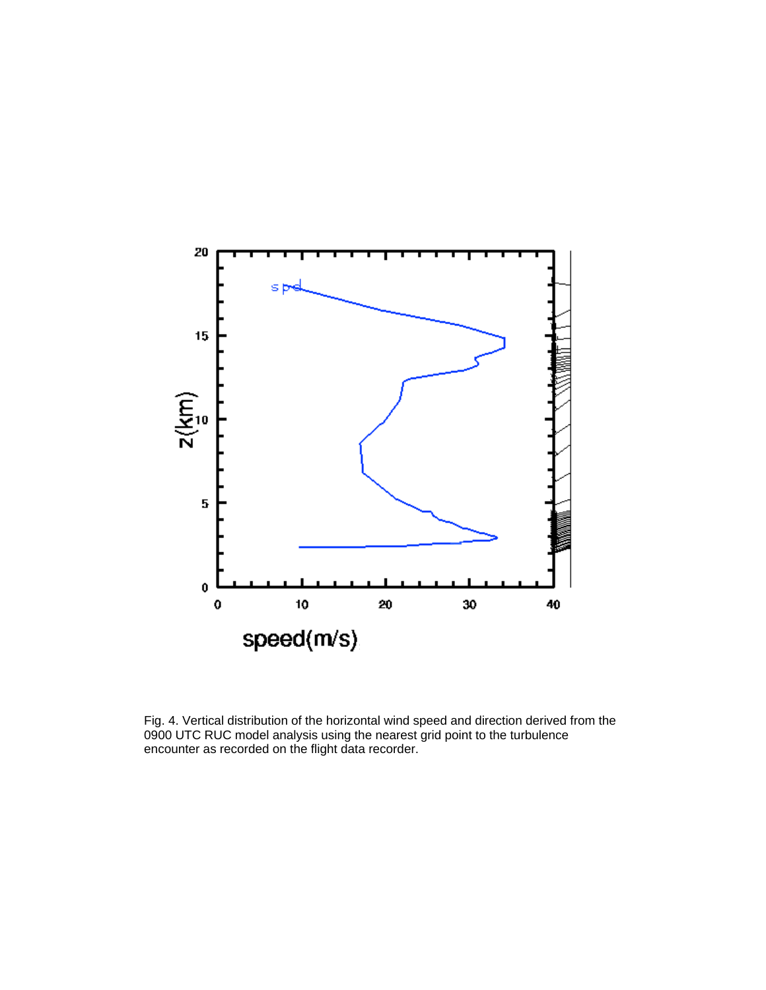

Fig. 4. Vertical distribution of the horizontal wind speed and direction derived from the 0900 UTC RUC model analysis using the nearest grid point to the turbulence encounter as recorded on the flight data recorder.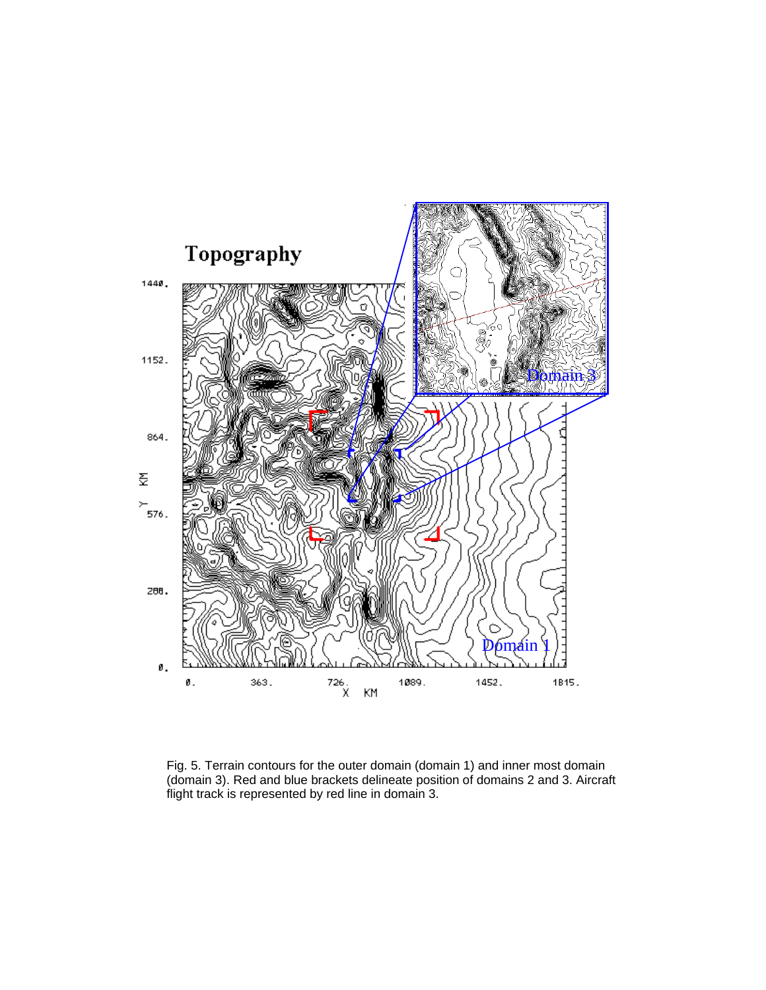

Fig. 5. Terrain contours for the outer domain (domain 1) and inner most domain (domain 3). Red and blue brackets delineate position of domains 2 and 3. Aircraft flight track is represented by red line in domain 3.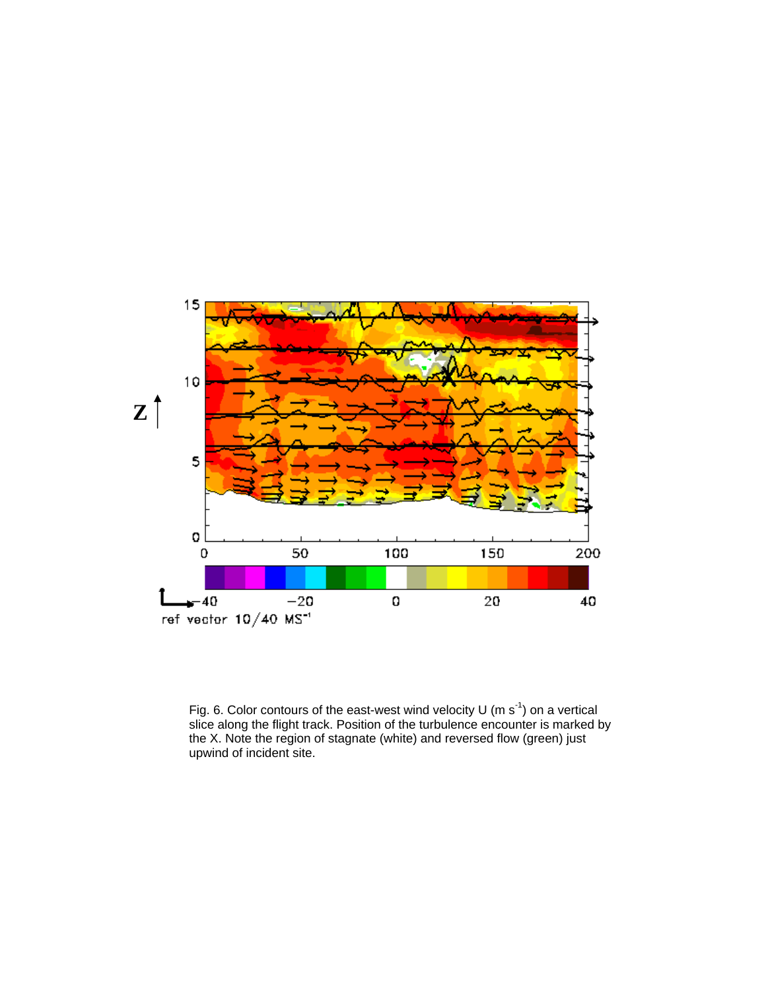

Fig. 6. Color contours of the east-west wind velocity U (m  $s^{-1}$ ) on a vertical slice along the flight track. Position of the turbulence encounter is marked by the X. Note the region of stagnate (white) and reversed flow (green) just upwind of incident site.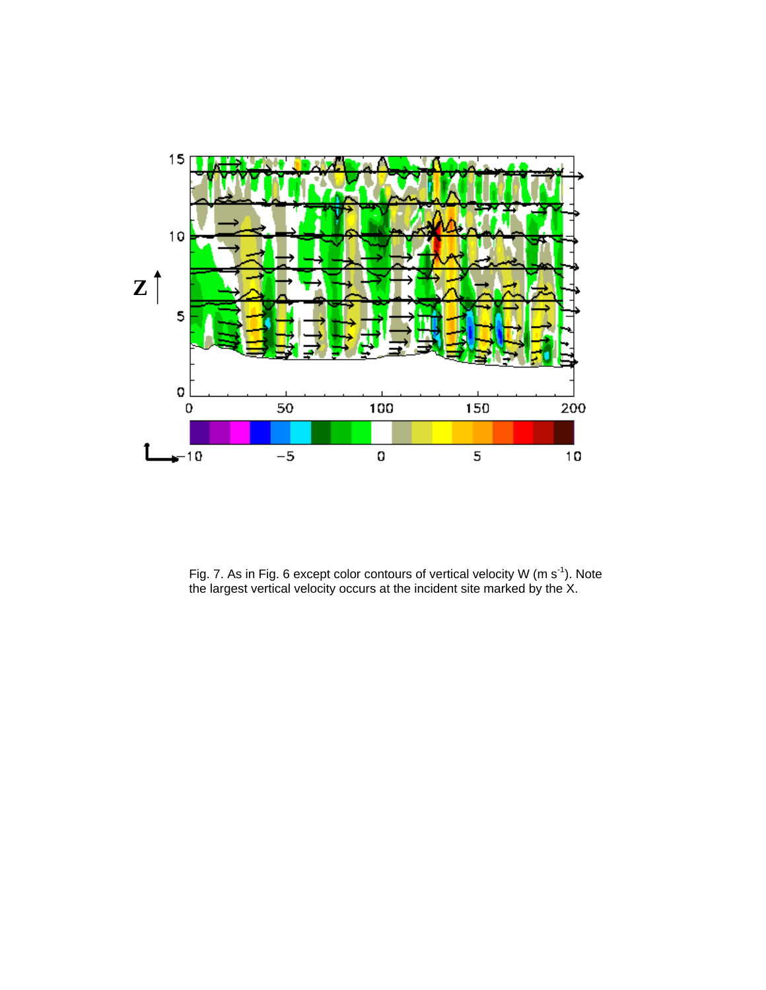

Fig. 7. As in Fig. 6 except color contours of vertical velocity W (m s<sup>-1</sup>). Note the largest vertical velocity occurs at the incident site marked by the X.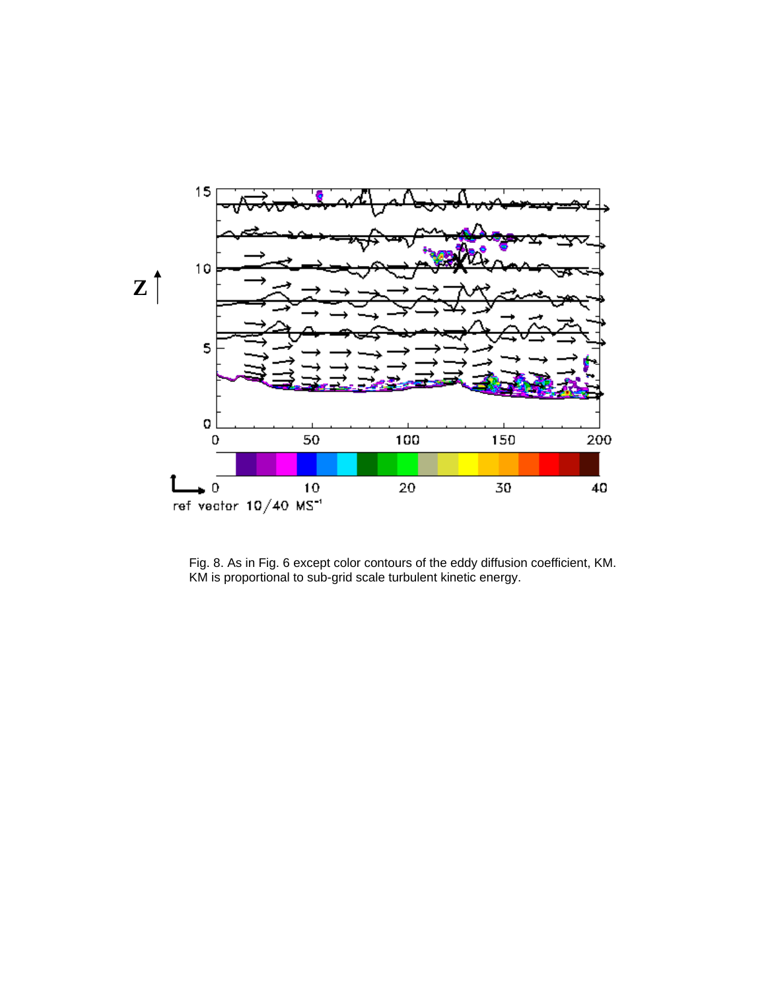

Fig. 8. As in Fig. 6 except color contours of the eddy diffusion coefficient, KM. KM is proportional to sub-grid scale turbulent kinetic energy.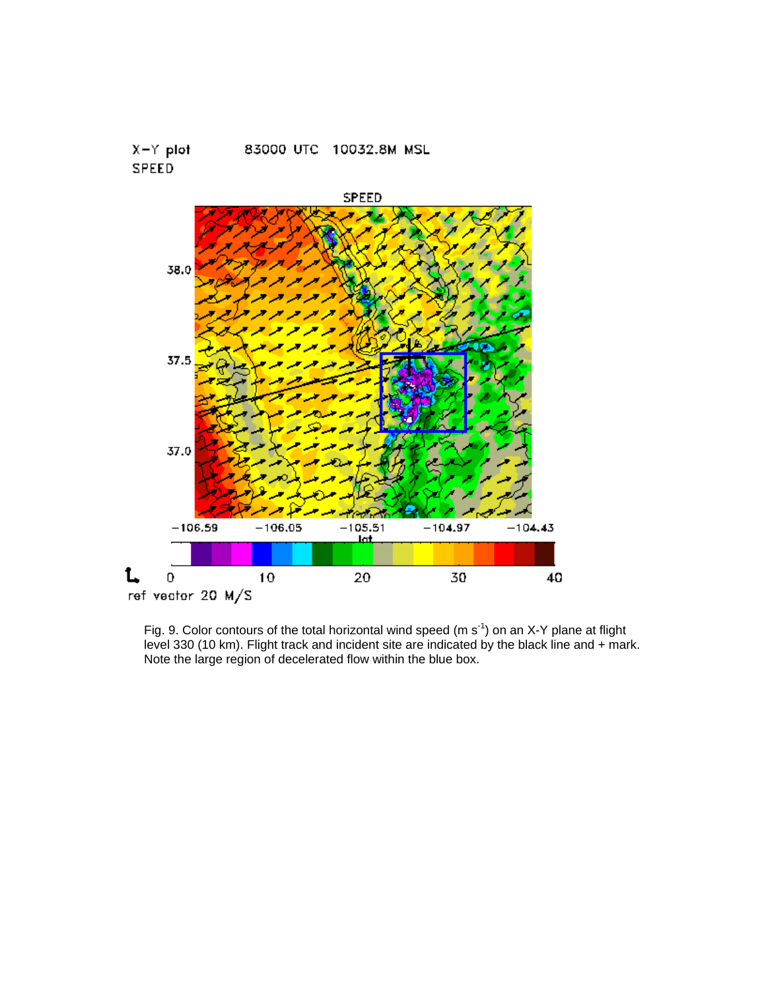



Fig. 9. Color contours of the total horizontal wind speed (m  $s^{-1}$ ) on an X-Y plane at flight level 330 (10 km). Flight track and incident site are indicated by the black line and + mark. Note the large region of decelerated flow within the blue box.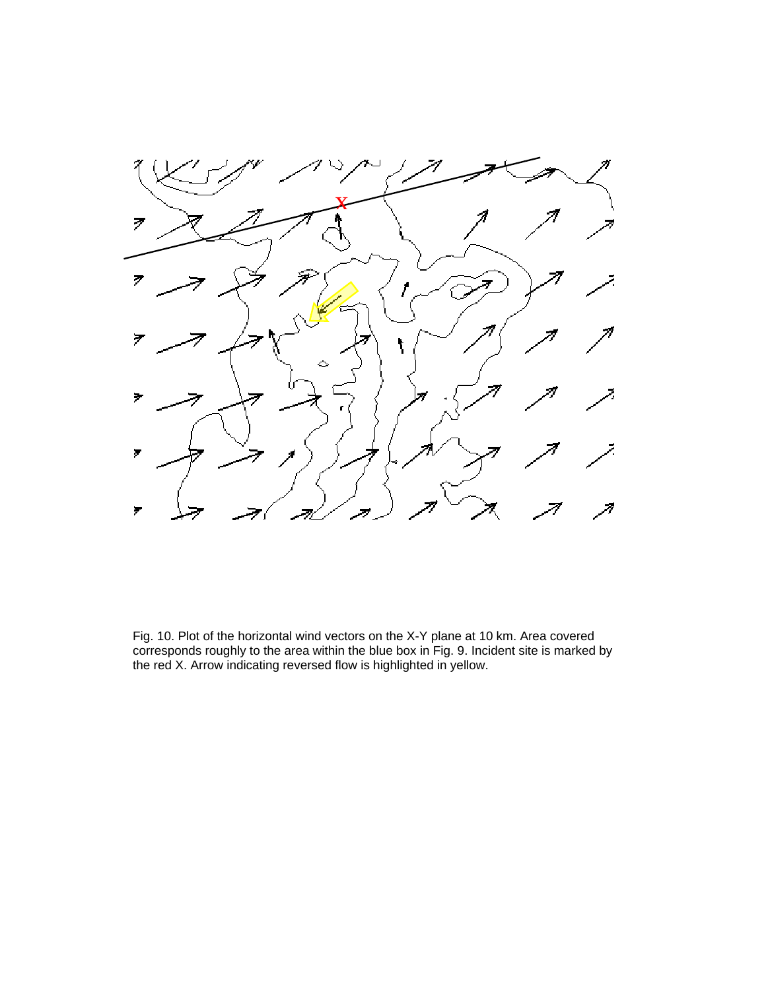

Fig. 10. Plot of the horizontal wind vectors on the X-Y plane at 10 km. Area covered corresponds roughly to the area within the blue box in Fig. 9. Incident site is marked by the red X. Arrow indicating reversed flow is highlighted in yellow.